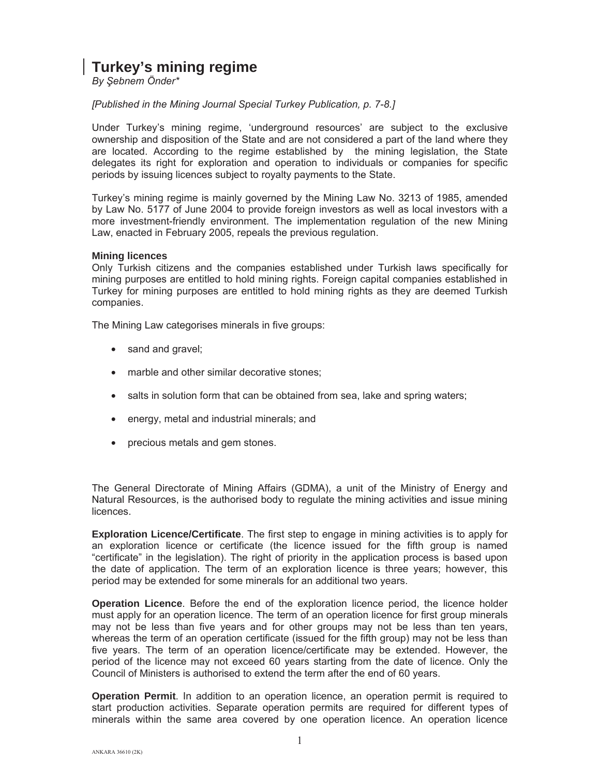# **Turkey's mining regime**

*By ùebnem Önder\** 

# *[Published in the Mining Journal Special Turkey Publication, p. 7-8.]*

Under Turkey's mining regime, 'underground resources' are subject to the exclusive ownership and disposition of the State and are not considered a part of the land where they are located. According to the regime established by the mining legislation, the State delegates its right for exploration and operation to individuals or companies for specific periods by issuing licences subject to royalty payments to the State.

Turkey's mining regime is mainly governed by the Mining Law No. 3213 of 1985, amended by Law No. 5177 of June 2004 to provide foreign investors as well as local investors with a more investment-friendly environment. The implementation regulation of the new Mining Law, enacted in February 2005, repeals the previous regulation.

# **Mining licences**

Only Turkish citizens and the companies established under Turkish laws specifically for mining purposes are entitled to hold mining rights. Foreign capital companies established in Turkey for mining purposes are entitled to hold mining rights as they are deemed Turkish companies.

The Mining Law categorises minerals in five groups:

- sand and gravel;
- marble and other similar decorative stones;
- salts in solution form that can be obtained from sea, lake and spring waters;
- energy, metal and industrial minerals; and
- precious metals and gem stones.

The General Directorate of Mining Affairs (GDMA), a unit of the Ministry of Energy and Natural Resources, is the authorised body to regulate the mining activities and issue mining licences.

**Exploration Licence/Certificate**. The first step to engage in mining activities is to apply for an exploration licence or certificate (the licence issued for the fifth group is named "certificate" in the legislation). The right of priority in the application process is based upon the date of application. The term of an exploration licence is three years; however, this period may be extended for some minerals for an additional two years.

**Operation Licence**. Before the end of the exploration licence period, the licence holder must apply for an operation licence. The term of an operation licence for first group minerals may not be less than five years and for other groups may not be less than ten years, whereas the term of an operation certificate (issued for the fifth group) may not be less than five years. The term of an operation licence/certificate may be extended. However, the period of the licence may not exceed 60 years starting from the date of licence. Only the Council of Ministers is authorised to extend the term after the end of 60 years.

**Operation Permit**. In addition to an operation licence, an operation permit is required to start production activities. Separate operation permits are required for different types of minerals within the same area covered by one operation licence. An operation licence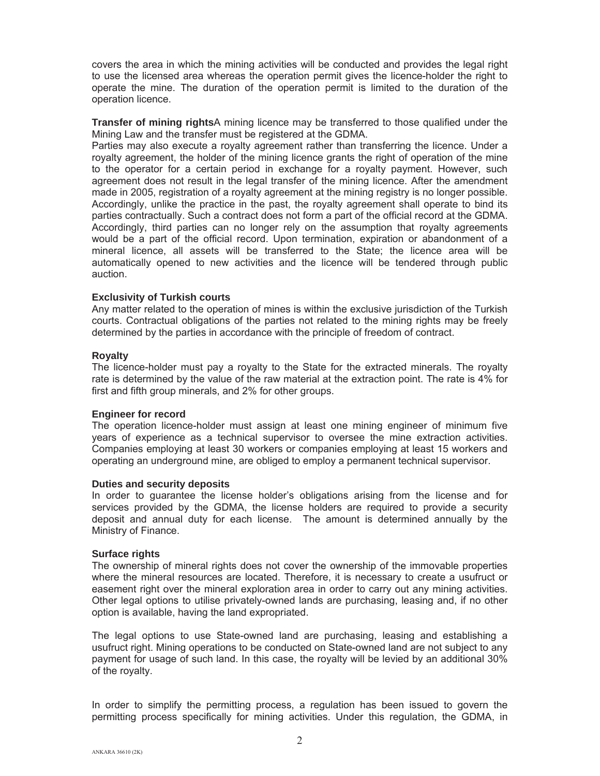covers the area in which the mining activities will be conducted and provides the legal right to use the licensed area whereas the operation permit gives the licence-holder the right to operate the mine. The duration of the operation permit is limited to the duration of the operation licence.

**Transfer of mining rights**A mining licence may be transferred to those qualified under the Mining Law and the transfer must be registered at the GDMA.

Parties may also execute a royalty agreement rather than transferring the licence. Under a royalty agreement, the holder of the mining licence grants the right of operation of the mine to the operator for a certain period in exchange for a royalty payment. However, such agreement does not result in the legal transfer of the mining licence. After the amendment made in 2005, registration of a royalty agreement at the mining registry is no longer possible. Accordingly, unlike the practice in the past, the royalty agreement shall operate to bind its parties contractually. Such a contract does not form a part of the official record at the GDMA. Accordingly, third parties can no longer rely on the assumption that royalty agreements would be a part of the official record. Upon termination, expiration or abandonment of a mineral licence, all assets will be transferred to the State; the licence area will be automatically opened to new activities and the licence will be tendered through public auction.

## **Exclusivity of Turkish courts**

Any matter related to the operation of mines is within the exclusive jurisdiction of the Turkish courts. Contractual obligations of the parties not related to the mining rights may be freely determined by the parties in accordance with the principle of freedom of contract.

## **Royalty**

The licence-holder must pay a royalty to the State for the extracted minerals. The royalty rate is determined by the value of the raw material at the extraction point. The rate is 4% for first and fifth group minerals, and 2% for other groups.

#### **Engineer for record**

The operation licence-holder must assign at least one mining engineer of minimum five years of experience as a technical supervisor to oversee the mine extraction activities. Companies employing at least 30 workers or companies employing at least 15 workers and operating an underground mine, are obliged to employ a permanent technical supervisor.

#### **Duties and security deposits**

In order to guarantee the license holder's obligations arising from the license and for services provided by the GDMA, the license holders are required to provide a security deposit and annual duty for each license. The amount is determined annually by the Ministry of Finance.

#### **Surface rights**

The ownership of mineral rights does not cover the ownership of the immovable properties where the mineral resources are located. Therefore, it is necessary to create a usufruct or easement right over the mineral exploration area in order to carry out any mining activities. Other legal options to utilise privately-owned lands are purchasing, leasing and, if no other option is available, having the land expropriated.

The legal options to use State-owned land are purchasing, leasing and establishing a usufruct right. Mining operations to be conducted on State-owned land are not subject to any payment for usage of such land. In this case, the royalty will be levied by an additional 30% of the royalty.

In order to simplify the permitting process, a regulation has been issued to govern the permitting process specifically for mining activities. Under this regulation, the GDMA, in